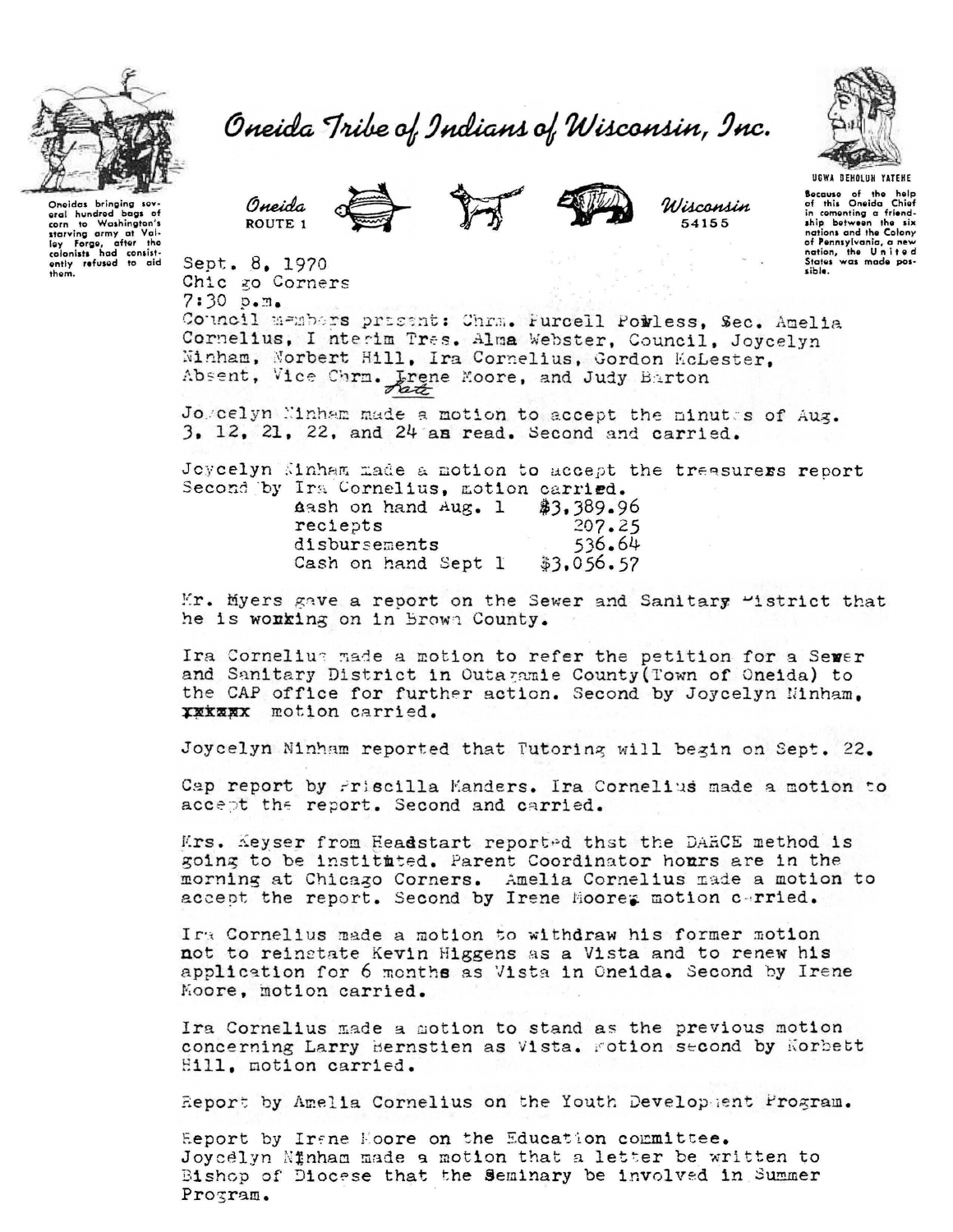

Oneida Tribe of Indians of Wisconsin, Inc.



Sept. 8. 1970 Chic go Corners



Wisconsin 54155



Oneidas bringing sovoral hundred bags of corn to Washington's<br>starving army at Valley Forge, after the<br>colonists had consist-<br>only refused to aid<br>them.

UGWA DEHOLUN YATEHE Bocause of the help<br>of this Oneida Chief in comonting a friend-<br>ship between the six nations and the Colony of Pennsylvania, a new<br>nation, the United<br>States was made pos-

 $7:30. p.m.$ Council members prisent: Chrm. Furcell Powless, Sec. Amelia Cornelius, I nterim Tres. Alma Webster, Council, Joycelyn Winham, Norbert Hill, Ira Cornelius, Gordon KcLester, Absent, Vice Chrm. Lrene Moore, and Judy Barton

Jogcelyn Ninham made a motion to accept the minutes of Aug. 3. 12, 21, 22, and 24 am read. Second and carried.

Joycelyn Kinham made a motion to accept the treasurers report Second by Ira Cornelius, motion carried. Aash on hand Aug. 1  $$3,389.96$ 207.25 reciepts disbursements 536.64 Cash on hand Sept 1  $$3.056.57$ 

Mr. Myers gave a report on the Sewer and Sanitary "istrict that he is wonking on in Brown County.

Ira Cornelium made a motion to refer the petition for a Sewer and Sanitary District in Outagamie County (Town of Oneida) to the CAP office for further action. Second by Joycelyn Minham. XXXXXX motion carried.

Joycelyn Ninham reported that Tutoring will begin on Sept. 22.

Cap report by Friscilla Manders. Ira Cornelius made a motion to accept the report. Second and carried.

Krs. Keyser from Headstart reported that the DARCE method is going to be instituted. Parent Coordinator hours are in the morning at Chicago Corners. Amelia Cornelius made a motion to accept the report. Second by Irene Hoores motion carried.

Ira Cornelius made a motion to withdraw his former motion not to reinstate Kevin Higgens as a Vista and to renew his application for 6 months as Vista in Oneida. Second by Irene Moore, motion carried.

Ira Cornelius made a motion to stand as the previous motion concerning Larry Bernstien as Vista. Fotion second by Norbett Eill, motion carried.

Report by Amelia Cornelius on the Youth Development Program.

Eeport by Irane Hoore on the Education committee. Joycelyn Ninham made a motion that a letter be written to Bishop of Diocese that the Seminary be involved in Summer Program.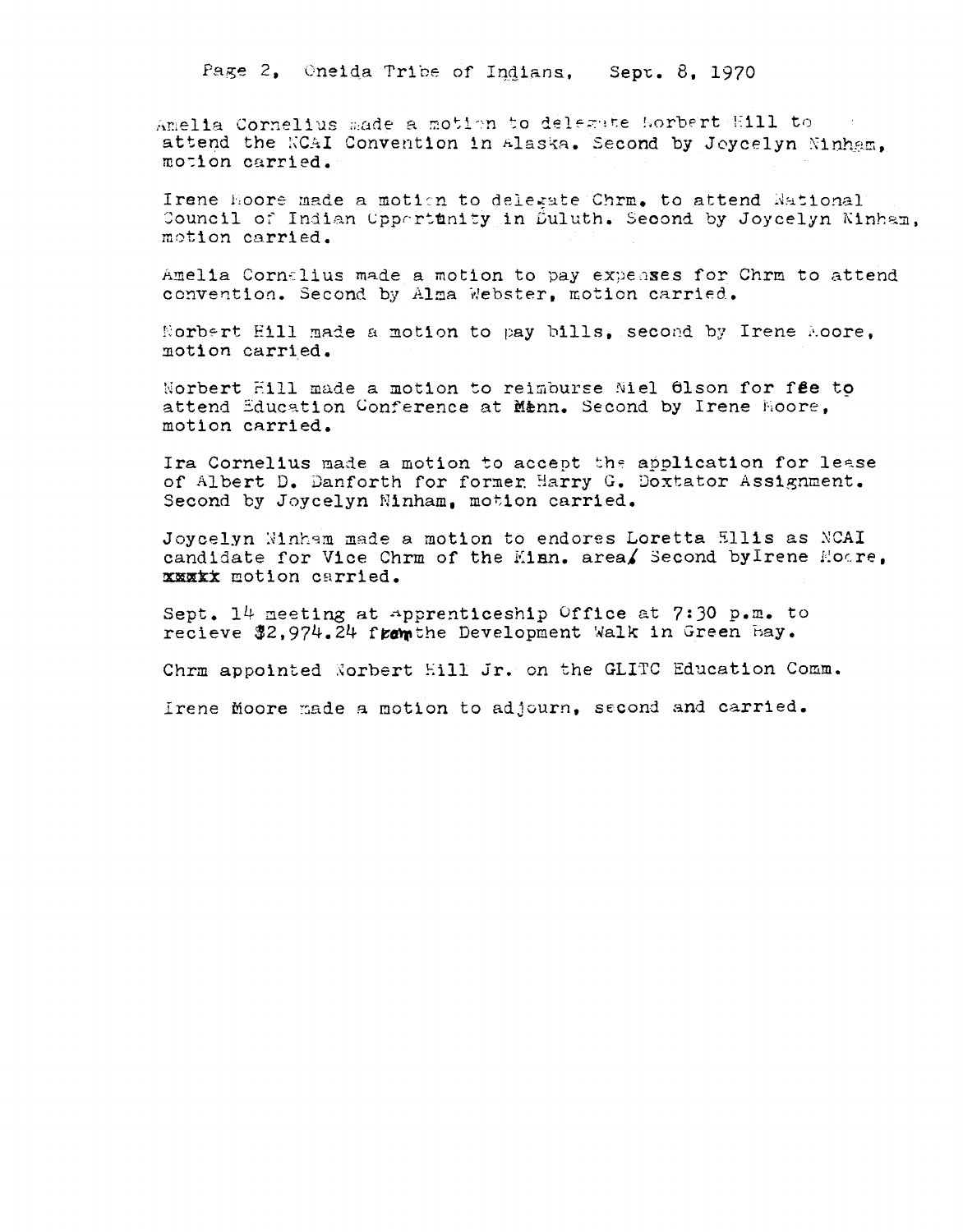Page 2, Oneida Tribe of Indians, Sept. 8, 1970

Amelia Cornelius made a motion to delegate Morbert Hill to attend the KCAI Convention in Alaska. Second by Joycelyn Ninham. motion carried.

Irene Hoore made a motion to delegate Chrm. to attend National Council of Indian Uppertunity in Duluth. Second by Joycelyn Ninham. motion carried.

Amelia Cornelius made a motion to pay expenses for Chrm to attend convention. Second by Alma Webster, motion carried.

Norbert Hill made a motion to pay bills. second by Irene Aoore. motion carried.

Norbert Hill made a motion to reimburse Niel 61son for fee to attend Education Conference at Menn. Second by Irene Hoore, motion carried.

Ira Cornelius made a motion to accept the application for lease of Albert D. Danforth for former Harry G. Doxtator Assignment. Second by Joycelyn Ninham, motion carried.

Joycelyn Winham made a motion to endores Loretta Ellis as NCAI candidate for Vice Chrm of the Minn. area/ Second by Irene Moore. xxxxx motion carried.

Sept. 14 meeting at apprenticeship Office at 7:30 p.m. to recieve \$2,974.24 from the Development Walk in Green Bay.

Chrm appointed Norbert Hill Jr. on the GLITC Education Comm.

Irene moore made a motion to adjourn, second and carried.